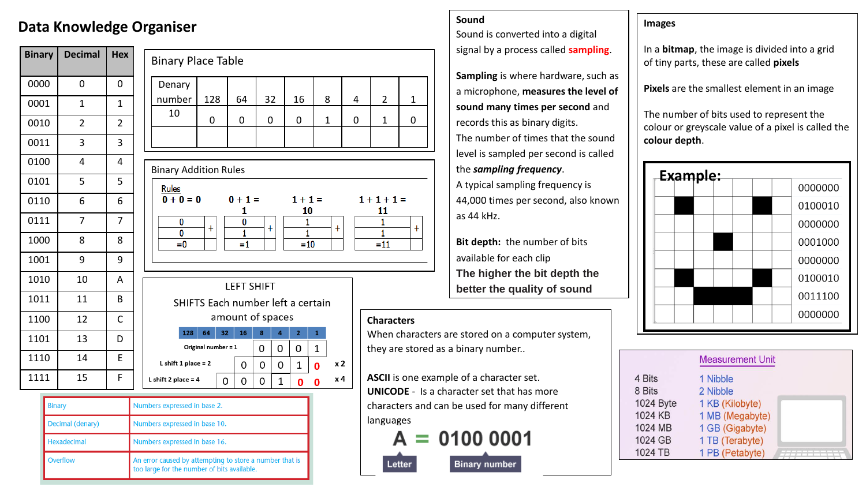### **Data Knowledge Organiser**

| <b>Binary</b> | Decimal        | <b>Hex</b>              |
|---------------|----------------|-------------------------|
| 0000          | 0              | 0                       |
| 0001          | $\overline{1}$ | $\mathbf 1$             |
| 0010          | $\overline{2}$ | $\overline{\mathbf{c}}$ |
| 0011          | 3              | 3                       |
| 0100          | 4              | 4                       |
| 0101          | 5              | 5                       |
| 0110          | 6              | 6                       |
| 0111          | 7              | $\overline{7}$          |
| 1000          | 8              | 8                       |
| 1001          | 9              | 9                       |
| 1010          | 10             | A                       |
| 1011          | 11             | B                       |
| 1100          | 12             | C                       |
| 1101          | 13             | D                       |
| 1110          | 14             | E                       |
| 1111          | 15             | F                       |

| <b>Binary Place Table</b>                      |                     |    |                                                        |               |             |                                    |              |              |   |                                        |             |
|------------------------------------------------|---------------------|----|--------------------------------------------------------|---------------|-------------|------------------------------------|--------------|--------------|---|----------------------------------------|-------------|
| Denary                                         |                     |    |                                                        |               |             |                                    |              |              |   |                                        |             |
| number                                         | 128                 |    | 64                                                     | 32            |             | 16                                 |              | 8            | 4 | 2                                      | $\mathbf 1$ |
| 10                                             | 0                   |    | 0                                                      | 0             |             | 0                                  |              | $\mathbf{1}$ | 0 | $\mathbf{1}$                           | 0           |
|                                                |                     |    |                                                        |               |             |                                    |              |              |   |                                        |             |
|                                                |                     |    |                                                        |               |             |                                    |              |              |   |                                        |             |
| <b>Binary Addition Rules</b>                   |                     |    |                                                        |               |             |                                    |              |              |   |                                        |             |
| <u>Rules</u><br>$0 + 0 = 0$<br>0<br>0<br>$= 0$ | $\ddot{}$           |    | $0 + 1 =$<br>1<br>$\overline{\mathbf{0}}$<br>1<br>$=1$ | $^\mathrm{+}$ |             | $1 + 1 =$<br>10<br>1<br>1<br>$=10$ |              | $+$          |   | $1 + 1 + 1 =$<br>11<br>1<br>1<br>$=11$ |             |
| SHIFTS Each number left a certain              |                     |    | <b>LEFT SHIFT</b>                                      |               |             |                                    |              |              |   |                                        |             |
|                                                |                     |    | amount of spaces                                       |               |             |                                    |              |              |   |                                        |             |
| 128                                            | 64                  | 32 | 16                                                     | 8             | 4           | $\overline{2}$                     | $\mathbf{1}$ |              |   | <b>Characters</b>                      |             |
|                                                |                     |    |                                                        |               |             |                                    |              |              |   | When chara                             |             |
|                                                | Original number = 1 |    |                                                        | 0             | 0           | 0                                  | 1            |              |   | they are sto                           |             |
| L shift 1 place $= 2$                          |                     |    | 0                                                      | 0             | 0           | 1                                  | 0            | x 2          |   |                                        |             |
| L shift 2 place $= 4$                          |                     | 0  | 0                                                      | 0             | $\mathbf 1$ | 0                                  | 0            | x 4          |   | <b>ASCII</b> is one<br>111100000       |             |
|                                                |                     |    |                                                        |               |             |                                    |              |              |   |                                        |             |

| Binary             | Numbers expressed in base 2.                                                                           |  |  |  |
|--------------------|--------------------------------------------------------------------------------------------------------|--|--|--|
| Decimal (denary)   | Numbers expressed in base 10.                                                                          |  |  |  |
| <b>Hexadecimal</b> | Numbers expressed in base 16.                                                                          |  |  |  |
| <b>Overflow</b>    | An error caused by attempting to store a number that is<br>too large for the number of bits available. |  |  |  |

### **Sound**

Sound is converted into a digital signal by a process called **sampling**.

**Sampling** is where hardware, such as a microphone, **measures the level of sound many times per second** and records this as binary digits. The number of times that the sound level is sampled per second is called the *sampling frequency*.

A typical sampling frequency is 44,000 times per second, also known as 44 kHz.

**Bit depth:** the number of bits available for each clip **The higher the bit depth the better the quality of sound**

#### **Characters**

Letter

 $+$ 

aracters are stored on a computer system, stored as a binary number..

ne example of a character set. **UNICODE** - Is a character set that has more characters and can be used for many different languages

 $= 01000001$ A

**Binary number** 

#### **Images**

In a **bitmap**, the image is divided into a grid of tiny parts, these are called **pixels**

**Pixels** are the smallest element in an image

The number of bits used to represent the colour or greyscale value of a pixel is called the **colour depth**.

| Example: |         |
|----------|---------|
|          | 0000000 |
|          | 0100010 |
|          | 0000000 |
|          | 0001000 |
|          | 0000000 |
|          | 0100010 |
|          | 0011100 |
|          | 0000000 |

|           | <b>Measurement Unit</b> |  |
|-----------|-------------------------|--|
| 4 Bits    | 1 Nibble                |  |
| 8 Bits    | 2 Nibble                |  |
| 1024 Byte | 1 KB (Kilobyte)         |  |
| 1024 KB   | 1 MB (Megabyte)         |  |
| 1024 MB   | 1 GB (Gigabyte)         |  |
| 1024 GB   | 1 TB (Terabyte)         |  |
| 1024 TB   | 1 PB (Petabyte)         |  |